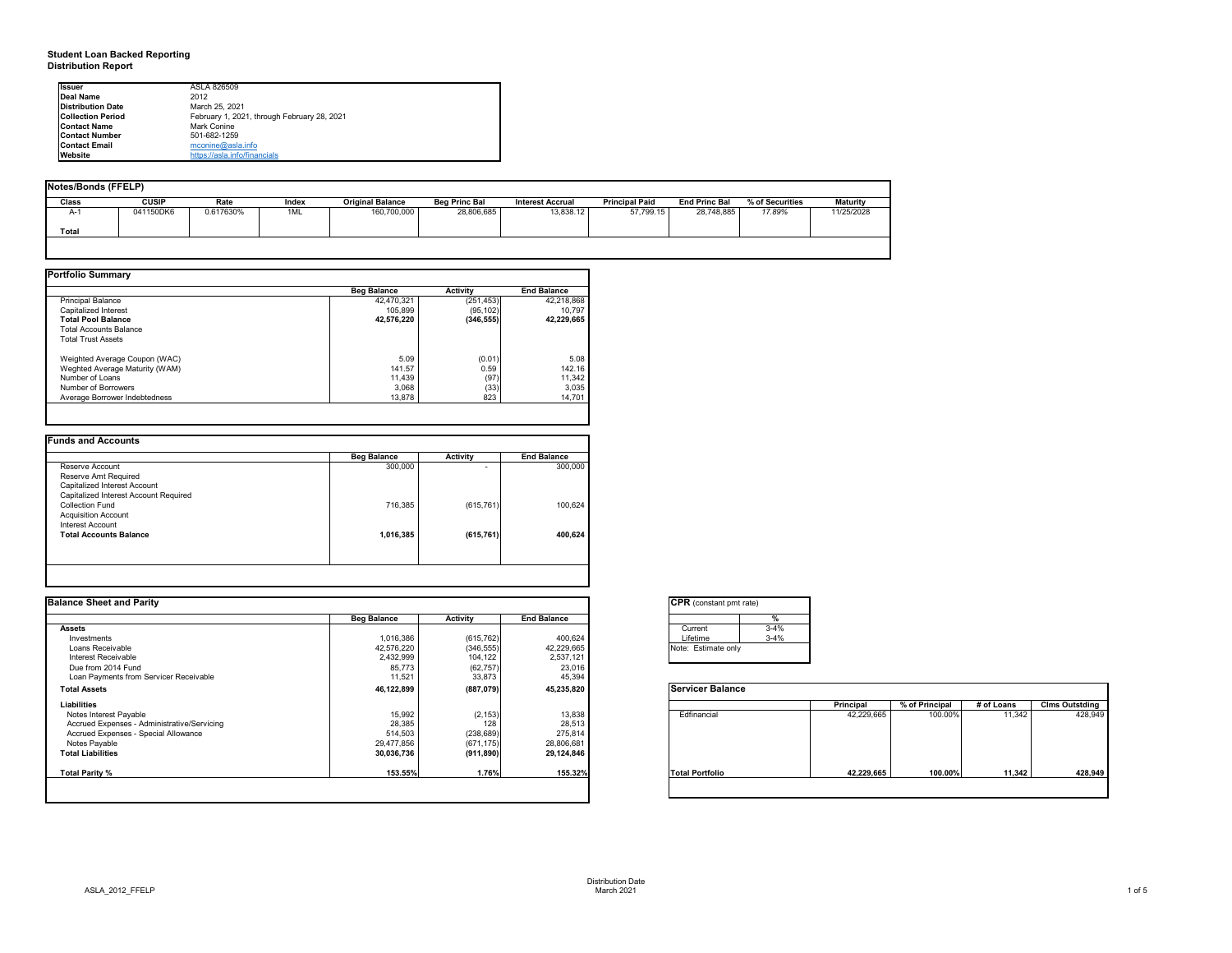# **Student Loan Backed Reporting Distribution Report**

## **Notes/Bonds (FFELP)**

| Notes/Bonds (FFELP) |              |           |       |                         |                      |                         |                       |                      |                 |                 |
|---------------------|--------------|-----------|-------|-------------------------|----------------------|-------------------------|-----------------------|----------------------|-----------------|-----------------|
| Class               | <b>CUSIP</b> | Rate      | Index | <b>Original Balance</b> | <b>Beg Princ Bal</b> | <b>Interest Accrual</b> | <b>Principal Paid</b> | <b>End Princ Bal</b> | % of Securities | <b>Maturity</b> |
| A-1                 | 041150DK6    | 0.617630% | 1ML   | 160,700,000             | 28,806,685           | 13,838.12               | 57,799.15             | 28,748,885           | 17.89%          | 11/25/2028      |
| Total               |              |           |       |                         |                      |                         |                       |                      |                 |                 |
|                     |              |           |       |                         |                      |                         |                       |                      |                 |                 |

| <b>Portfolio Summary</b>       |                    |                 |                    |
|--------------------------------|--------------------|-----------------|--------------------|
|                                | <b>Beg Balance</b> | <b>Activity</b> | <b>End Balance</b> |
| <b>Principal Balance</b>       | 42,470,321         | (251, 453)      | 42,218,868         |
| Capitalized Interest           | 105,899            | (95, 102)       | 10,797             |
| <b>Total Pool Balance</b>      | 42,576,220         | (346, 555)      | 42,229,665         |
| <b>Total Accounts Balance</b>  |                    |                 |                    |
| <b>Total Trust Assets</b>      |                    |                 |                    |
| Weighted Average Coupon (WAC)  | 5.09               | (0.01)          | 5.08               |
| Weghted Average Maturity (WAM) | 141.57             | 0.59            | 142.16             |
| Number of Loans                | 11,439             | (97)            | 11,342             |
| Number of Borrowers            | 3,068              | (33)            | 3,035              |
| Average Borrower Indebtedness  | 13,878             | 823             | 14,701             |
|                                |                    |                 |                    |

|                                       | <b>Beg Balance</b> | <b>Activity</b> | <b>End Balance</b> |
|---------------------------------------|--------------------|-----------------|--------------------|
| Reserve Account                       | 300,000            |                 | 300,000            |
| Reserve Amt Required                  |                    |                 |                    |
| Capitalized Interest Account          |                    |                 |                    |
| Capitalized Interest Account Required |                    |                 |                    |
| <b>Collection Fund</b>                | 716,385            | (615, 761)      | 100,624            |
| <b>Acquisition Account</b>            |                    |                 |                    |
| <b>Interest Account</b>               |                    |                 |                    |
| <b>Total Accounts Balance</b>         | 1,016,385          | (615, 761)      | 400,624            |
|                                       |                    |                 |                    |
|                                       |                    |                 |                    |

| onstant pmt rate) |          |
|-------------------|----------|
|                   | %        |
| ent               | $3 - 4%$ |
| me                | $3 - 4%$ |
| stimate only      |          |

|          | <b>Principal</b> | % of Principal | # of Loans | <b>Clms Outstding</b> |
|----------|------------------|----------------|------------|-----------------------|
| ancial   | 42,229,665       | 100.00%        | 11,342     | 428,949               |
| ortfolio | 42,229,665       | 100.00%        | 11,342     | 428,949               |

| <b>I</b> Issuer          | ASLA 826509                                 |
|--------------------------|---------------------------------------------|
| Deal Name                | 2012                                        |
| Distribution Date        | March 25, 2021                              |
| <b>Collection Period</b> | February 1, 2021, through February 28, 2021 |
| <b>Contact Name</b>      | Mark Conine                                 |
| <b>Contact Number</b>    | 501-682-1259                                |
| <b>Contact Email</b>     | mconine@asla.info                           |
| <b>Website</b>           | https://asla.info/financials                |

| <b>Balance Sheet and Parity</b>             |                    |                 |                    | <b>CPR</b> (constant pmt rate) |          |                  |                |            |                       |
|---------------------------------------------|--------------------|-----------------|--------------------|--------------------------------|----------|------------------|----------------|------------|-----------------------|
|                                             | <b>Beg Balance</b> | <b>Activity</b> | <b>End Balance</b> |                                |          |                  |                |            |                       |
| <b>Assets</b>                               |                    |                 |                    | Current                        | $3 - 4%$ |                  |                |            |                       |
| Investments                                 | 1,016,386          | (615, 762)      | 400,624            | Lifetime                       | $3 - 4%$ |                  |                |            |                       |
| Loans Receivable                            | 42,576,220         | (346, 555)      | 42,229,665         | Note: Estimate only            |          |                  |                |            |                       |
| Interest Receivable                         | 2,432,999          | 104,122         | 2,537,121          |                                |          |                  |                |            |                       |
| Due from 2014 Fund                          | 85,773             | (62, 757)       | 23,016             |                                |          |                  |                |            |                       |
| Loan Payments from Servicer Receivable      | 11,521             | 33,873          | 45,394             |                                |          |                  |                |            |                       |
| <b>Total Assets</b>                         | 46,122,899         | (887,079)       | 45,235,820         | <b>Servicer Balance</b>        |          |                  |                |            |                       |
| <b>Liabilities</b>                          |                    |                 |                    |                                |          | <b>Principal</b> | % of Principal | # of Loans | <b>Clms Outstding</b> |
| Notes Interest Payable                      | 15,992             | (2, 153)        | 13,838             | Edfinancial                    |          | 42,229,665       | 100.00%        | 11,342     | 428,949               |
| Accrued Expenses - Administrative/Servicing | 28,385             | 128             | 28,513             |                                |          |                  |                |            |                       |
| Accrued Expenses - Special Allowance        | 514,503            | (238, 689)      | 275,814            |                                |          |                  |                |            |                       |
| Notes Payable                               | 29,477,856         | (671, 175)      | 28,806,681         |                                |          |                  |                |            |                       |
| <b>Total Liabilities</b>                    | 30,036,736         | (911, 890)      | 29,124,846         |                                |          |                  |                |            |                       |
| Total Parity %                              | 153.55%            | 1.76%           | 155.32%            | <b>Total Portfolio</b>         |          | 42,229,665       | 100.00%        | 11,342     | 428,949               |
|                                             |                    |                 |                    |                                |          |                  |                |            |                       |

| Curr<br>Lifet<br>Note:<br>F |
|-----------------------------|

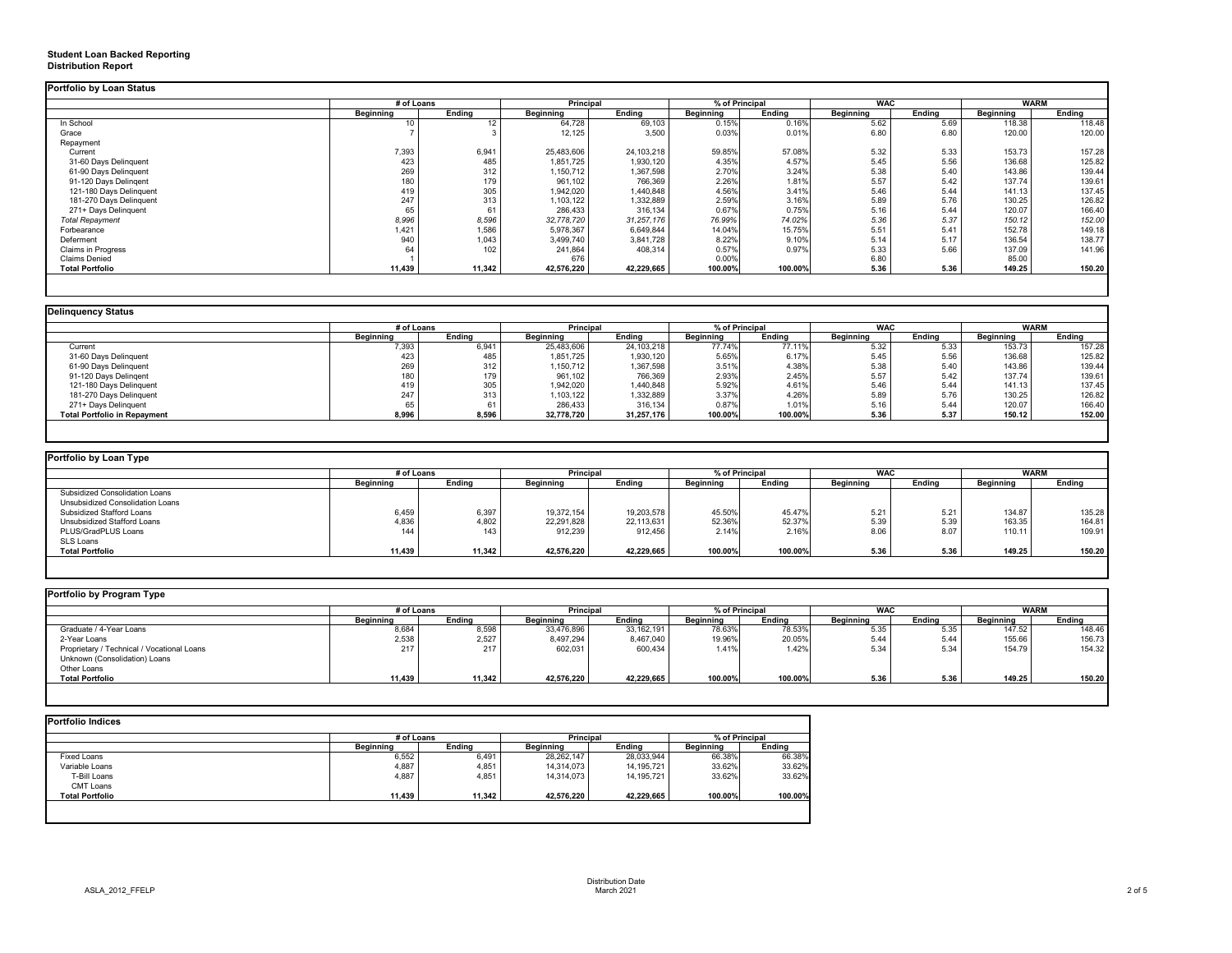# **Student Loan Backed Reporting Distribution Report**

|                           | # of Loans       |                 | <b>Principal</b> |               | % of Principal   |               | <b>WAC</b>       |               | <b>WARM</b>      |        |
|---------------------------|------------------|-----------------|------------------|---------------|------------------|---------------|------------------|---------------|------------------|--------|
|                           | <b>Beginning</b> | <b>Ending</b>   | <b>Beginning</b> | <b>Ending</b> | <b>Beginning</b> | <b>Ending</b> | <b>Beginning</b> | <b>Ending</b> | <b>Beginning</b> | Ending |
| In School                 | 10 <sup>°</sup>  | 12 <sup>2</sup> | 64,728           | 69,103        | 0.15%            | 0.16%         | 5.62             | 5.69          | 118.38           | 118.48 |
| Grace                     |                  |                 | 12,125           | 3,500         | 0.03%            | 0.01%         | 6.80             | 6.80          | 120.00           | 120.00 |
| Repayment                 |                  |                 |                  |               |                  |               |                  |               |                  |        |
| Current                   | 7,393            | 6,941           | 25,483,606       | 24, 103, 218  | 59.85%           | 57.08%        | 5.32             | 5.33          | 153.73           | 157.28 |
| 31-60 Days Delinquent     | 423              | 485             | 1,851,725        | 1,930,120     | 4.35%            | 4.57%         | 5.45             | 5.56          | 136.68           | 125.82 |
| 61-90 Days Delinquent     | 269              | 312             | 1,150,712        | 1,367,598     | 2.70%            | 3.24%         | 5.38             | 5.40          | 143.86           | 139.44 |
| 91-120 Days Delingent     | 180              | 179             | 961,102          | 766,369       | 2.26%            | 1.81%         | 5.57             | 5.42          | 137.74           | 139.61 |
| 121-180 Days Delinquent   | 419              | 305             | 1,942,020        | 1,440,848     | 4.56%            | 3.41%         | 5.46             | 5.44          | 141.13           | 137.45 |
| 181-270 Days Delinquent   | 247              | 313             | 1,103,122        | 1,332,889     | 2.59%            | 3.16%         | 5.89             | 5.76          | 130.25           | 126.82 |
| 271+ Days Delinquent      |                  | 61              | 286,433          | 316,134       | 0.67%            | 0.75%         | 5.16             | 5.44          | 120.07           | 166.40 |
| <b>Total Repayment</b>    | 8,996            | 8,596           | 32,778,720       | 31,257,176    | 76.99%           | 74.02%        | 5.36             | 5.37          | 150.12           | 152.00 |
| Forbearance               | 1,421            | 1,586           | 5,978,367        | 6,649,844     | 14.04%           | 15.75%        | 5.51             | 5.41          | 152.78           | 149.18 |
| Deferment                 | 940              | 1,043           | 3,499,740        | 3,841,728     | 8.22%            | 9.10%         | 5.14             | 5.17          | 136.54           | 138.77 |
| <b>Claims in Progress</b> |                  | 102             | 241,864          | 408,314       | 0.57%            | 0.97%         | 5.33             | 5.66          | 137.09           | 141.96 |
| <b>Claims Denied</b>      |                  |                 | 676              |               | 0.00%            |               | 6.80             |               | 85.00            |        |
| <b>Total Portfolio</b>    | 11,439           | 11,342          | 42,576,220       | 42,229,665    | 100.00%          | 100.00%       | 5.36             | 5.36          | 149.25           | 150.20 |

| <b>Delinquency Status</b>           |                  |               |                  |               |                  |               |                  |               |                  |               |
|-------------------------------------|------------------|---------------|------------------|---------------|------------------|---------------|------------------|---------------|------------------|---------------|
|                                     | # of Loans       |               | <b>Principal</b> |               | % of Principal   |               | <b>WAC</b>       |               | <b>WARM</b>      |               |
|                                     | <b>Beginning</b> | <b>Ending</b> | <b>Beginning</b> | <b>Ending</b> | <b>Beginning</b> | <b>Ending</b> | <b>Beginning</b> | <b>Ending</b> | <b>Beginning</b> | <b>Ending</b> |
| Current                             | 7,393            | 6,941         | 25,483,606       | 24, 103, 218  | 77.74%           | 77.11%        | 5.32             | 5.33          | 153.73           | 157.28        |
| 31-60 Days Delinquent               | 423              | 485           | 1,851,725        | 1,930,120     | 5.65%            | 6.17%         | 5.45             | 5.56          | 136.68           | 125.82        |
| 61-90 Days Delinquent               | 269              | 312           | 1,150,712        | 1,367,598     | 3.51%            | 4.38%         | 5.38             | 5.40          | 143.86           | 139.44        |
| 91-120 Days Delingent               | 180              | 179           | 961,102          | 766,369       | 2.93%            | 2.45%         | 5.57             | 5.42          | 137.74           | 139.61        |
| 121-180 Days Delinquent             | 419              | 305           | 1,942,020        | 1,440,848     | 5.92%            | 4.61%         | 5.46             | 5.44          | 141.13           | 137.45        |
| 181-270 Days Delinquent             | 247              | 313           | 1,103,122        | 1,332,889     | 3.37%            | 4.26%         | 5.89             | 5.76          | 130.25           | 126.82        |
| 271+ Days Delinquent                | 65               |               | 286,433          | 316,134       | 0.87%            | 1.01%         | 5.16             | 5.44          | 120.07           | 166.40        |
| <b>Total Portfolio in Repayment</b> | 8,996            | 8,596         | 32,778,720       | 31,257,176    | 100.00%          | 100.00%       | 5.36             | 5.37          | 150.12           | 152.00        |
|                                     |                  |               |                  |               |                  |               |                  |               |                  |               |

|                                         | # of Loans       |               | <b>Principal</b> |               | % of Principal   |               | <b>WAC</b>       |               |                  | <b>WARM</b>   |  |
|-----------------------------------------|------------------|---------------|------------------|---------------|------------------|---------------|------------------|---------------|------------------|---------------|--|
|                                         | <b>Beginning</b> | <b>Ending</b> | <b>Beginning</b> | <b>Ending</b> | <b>Beginning</b> | <b>Ending</b> | <b>Beginning</b> | <b>Ending</b> | <b>Beginning</b> | <b>Ending</b> |  |
| <b>Subsidized Consolidation Loans</b>   |                  |               |                  |               |                  |               |                  |               |                  |               |  |
| <b>Unsubsidized Consolidation Loans</b> |                  |               |                  |               |                  |               |                  |               |                  |               |  |
| <b>Subsidized Stafford Loans</b>        | 6,459            | 6,397         | 19,372,154       | 19,203,578    | 45.50%           | 45.47%        | 5.21             | 5.21          | 134.87           | 135.28        |  |
| Unsubsidized Stafford Loans             | 4,836            | 4,802         | 22,291,828       | 22,113,631    | 52.36%           | 52.37%        | 5.39             | 5.39          | 163.35           | 164.81        |  |
| PLUS/GradPLUS Loans                     | 144              | 143           | 912,239          | 912,456       | 2.14%            | 2.16%         | 8.06             | 8.07          | 110.1'           | 109.91        |  |
| SLS Loans                               |                  |               |                  |               |                  |               |                  |               |                  |               |  |
| <b>Total Portfolio</b>                  | 11,439           | 11,342        | 42,576,220       | 42,229,665    | 100.00%          | 100.00%       | 5.36             | 5.36          | 149.25           | 150.20        |  |

|                                            | # of Loans       |               | <b>Principal</b> |               | % of Principal   |               | <b>WAC</b>       |               | <b>WARM</b>      |               |
|--------------------------------------------|------------------|---------------|------------------|---------------|------------------|---------------|------------------|---------------|------------------|---------------|
|                                            | <b>Beginning</b> | <b>Ending</b> | <b>Beginning</b> | <b>Ending</b> | <b>Beginning</b> | <b>Ending</b> | <b>Beginning</b> | <b>Ending</b> | <b>Beginning</b> | <b>Ending</b> |
| Graduate / 4-Year Loans                    | 8,684            | 8,598         | 33,476,896       | 33, 162, 191  | 78.63%           | 78.53%        | 5.35             | 5.35          | 147.52           | 148.46        |
| 2-Year Loans                               | 2,538            | 2,527         | 8,497,294        | 8,467,040     | 19.96%           | 20.05%        | 5.44             | 5.44          | 155.66           | 156.73        |
| Proprietary / Technical / Vocational Loans | 217              | 217           | 602,031          | 600,434       | 1.41%            | 1.42%         | 5.34             | 5.34          | 154.79           | 154.32        |
| Unknown (Consolidation) Loans              |                  |               |                  |               |                  |               |                  |               |                  |               |
| Other Loans                                |                  |               |                  |               |                  |               |                  |               |                  |               |
| <b>Total Portfolio</b>                     | 11,439           | 11,342        | 42,576,220       | 42,229,665    | 100.00%          | 100.00%       | 5.36             | 5.36          | 149.25           | 150.20        |

|                        | # of Loans       |               | Principal        |               | % of Principal   |               |
|------------------------|------------------|---------------|------------------|---------------|------------------|---------------|
|                        | <b>Beginning</b> | <b>Ending</b> | <b>Beginning</b> | <b>Ending</b> | <b>Beginning</b> | <b>Ending</b> |
| <b>Fixed Loans</b>     | 6,552            | 6,491         | 28,262,147       | 28,033,944    | 66.38%           | 66.38%        |
| Variable Loans         | 4,887            | 4,851         | 14,314,073       | 14, 195, 721  | 33.62%           | 33.62%        |
| T-Bill Loans           | 4,887            | 4,851         | 14,314,073       | 14, 195, 721  | 33.62%           | 33.62%        |
| <b>CMT Loans</b>       |                  |               |                  |               |                  |               |
| <b>Total Portfolio</b> | 11,439           | 11,342        | 42,576,220       | 42,229,665    | 100.00%          | 100.00%       |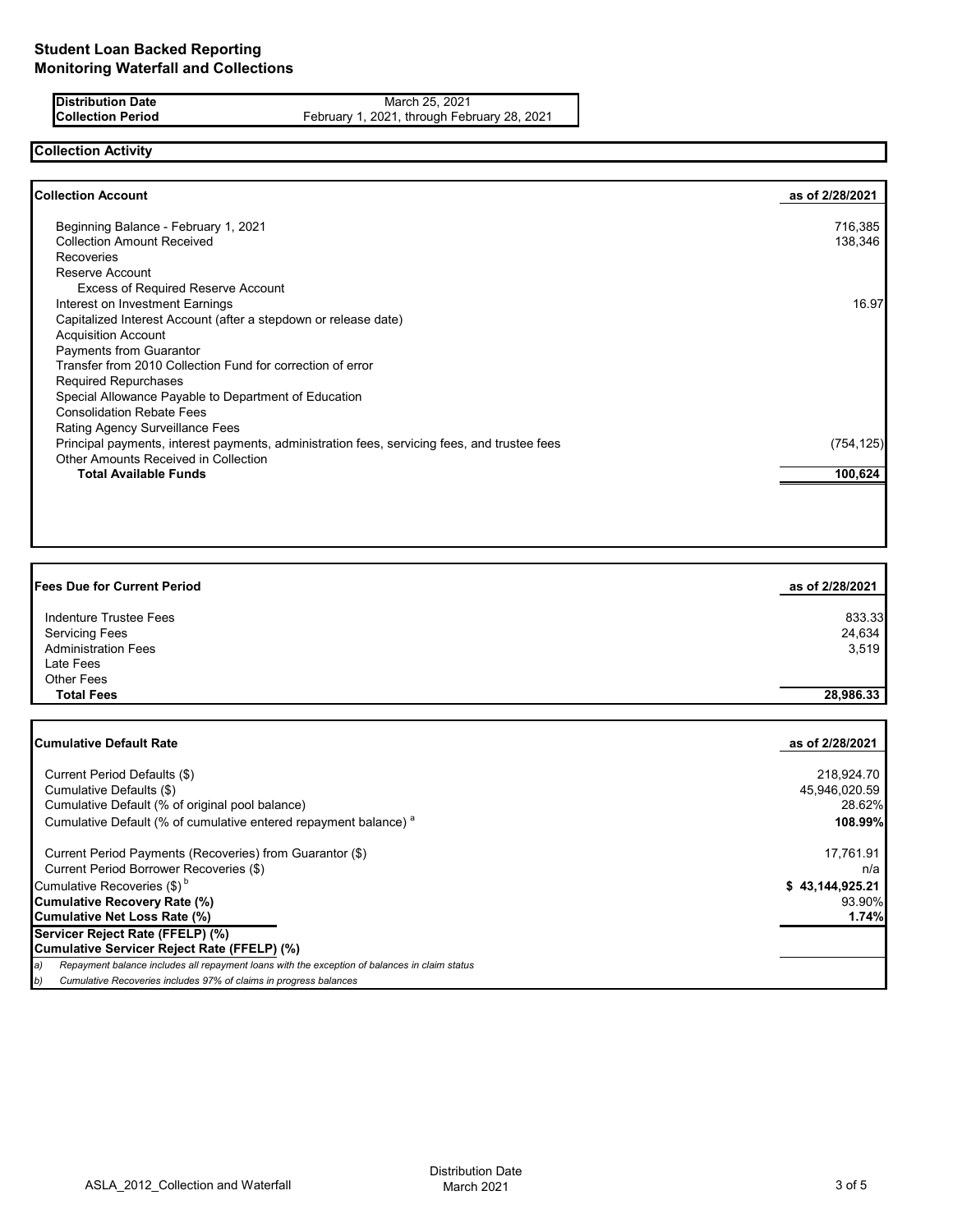**Distribution Date** March 25, 2021<br>**Collection Period** February 1, 2021, through Feb February 1, 2021, through February 28, 2021

# **Collection Activity**

| <b>Collection Account</b>                                                                    | as of 2/28/2021 |
|----------------------------------------------------------------------------------------------|-----------------|
| Beginning Balance - February 1, 2021                                                         | 716,385         |
| <b>Collection Amount Received</b>                                                            | 138,346         |
| <b>Recoveries</b>                                                                            |                 |
| Reserve Account                                                                              |                 |
| <b>Excess of Required Reserve Account</b>                                                    |                 |
| Interest on Investment Earnings                                                              | 16.97           |
| Capitalized Interest Account (after a stepdown or release date)                              |                 |
| <b>Acquisition Account</b>                                                                   |                 |
| Payments from Guarantor                                                                      |                 |
| Transfer from 2010 Collection Fund for correction of error                                   |                 |
| <b>Required Repurchases</b>                                                                  |                 |
| Special Allowance Payable to Department of Education                                         |                 |
| <b>Consolidation Rebate Fees</b>                                                             |                 |
| Rating Agency Surveillance Fees                                                              |                 |
| Principal payments, interest payments, administration fees, servicing fees, and trustee fees | (754, 125)      |
| Other Amounts Received in Collection                                                         |                 |
| <b>Total Available Funds</b>                                                                 | 100,624         |

| <b>Fees Due for Current Period</b> | as of 2/28/2021 |
|------------------------------------|-----------------|
| Indenture Trustee Fees             | 833.33          |
| <b>Servicing Fees</b>              | 24,634          |
| <b>Administration Fees</b>         | 3,519           |
| Late Fees                          |                 |
| Other Fees                         |                 |
| <b>Total Fees</b>                  | 28,986.33       |
|                                    |                 |

| <b>Cumulative Default Rate</b>                                                                      | as of 2/28/2021 |
|-----------------------------------------------------------------------------------------------------|-----------------|
| Current Period Defaults (\$)                                                                        | 218,924.70      |
| Cumulative Defaults (\$)                                                                            | 45,946,020.59   |
| Cumulative Default (% of original pool balance)                                                     | 28.62%          |
| Cumulative Default (% of cumulative entered repayment balance) <sup>a</sup>                         | 108.99%         |
| Current Period Payments (Recoveries) from Guarantor (\$)                                            | 17,761.91       |
| Current Period Borrower Recoveries (\$)                                                             | n/a             |
| Cumulative Recoveries (\$) <sup>b</sup>                                                             | \$43,144,925.21 |
| <b>Cumulative Recovery Rate (%)</b>                                                                 | 93.90%          |
| <b>Cumulative Net Loss Rate (%)</b>                                                                 | 1.74%           |
| Servicer Reject Rate (FFELP) (%)                                                                    |                 |
| Cumulative Servicer Reject Rate (FFELP) (%)                                                         |                 |
| Repayment balance includes all repayment loans with the exception of balances in claim status<br>a) |                 |
| Cumulative Recoveries includes 97% of claims in progress balances<br>b)                             |                 |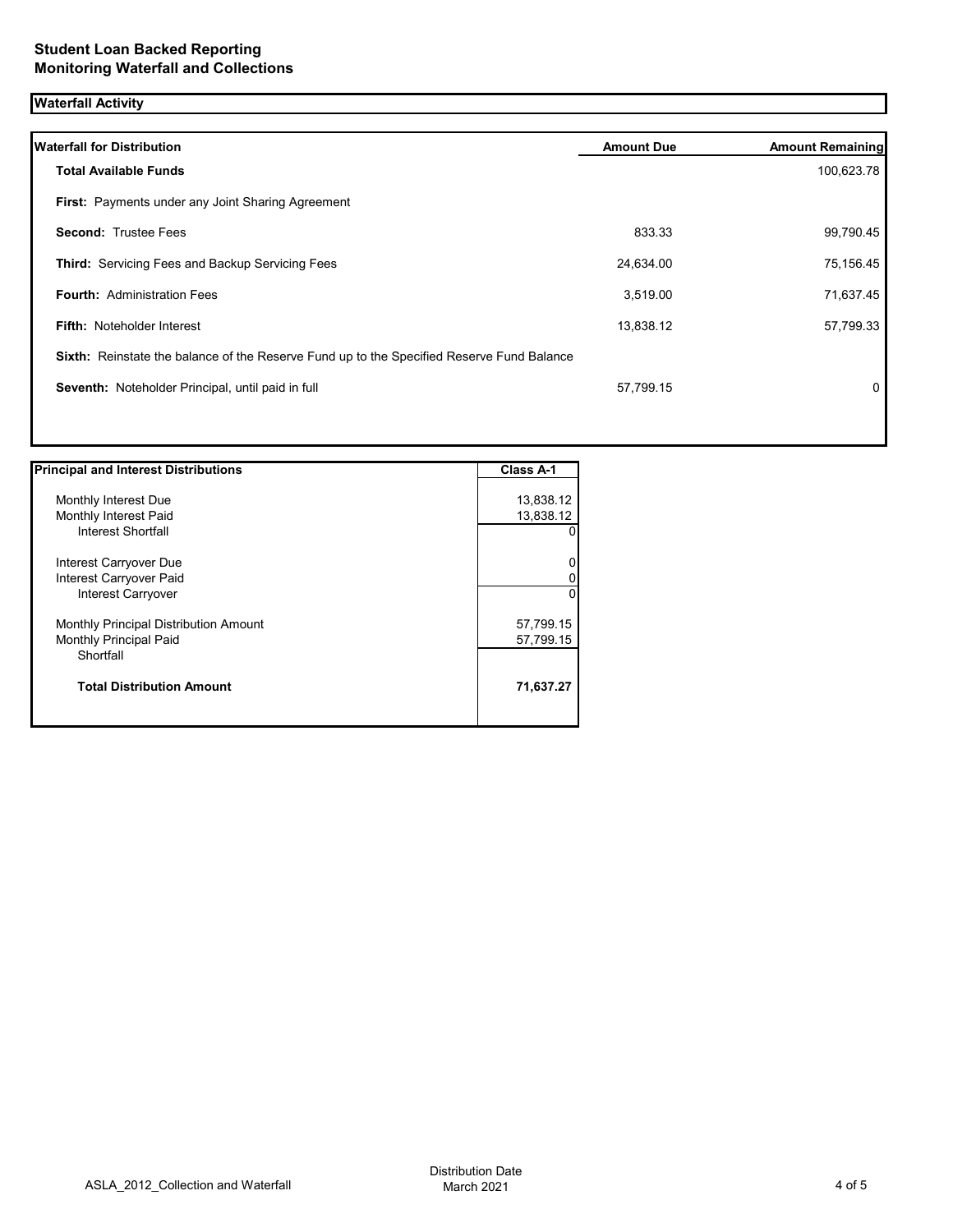# **Waterfall Activity**

| <b>Waterfall for Distribution</b>                                                         | <b>Amount Due</b> | <b>Amount Remaining</b> |
|-------------------------------------------------------------------------------------------|-------------------|-------------------------|
| <b>Total Available Funds</b>                                                              |                   | 100,623.78              |
| First: Payments under any Joint Sharing Agreement                                         |                   |                         |
| <b>Second: Trustee Fees</b>                                                               | 833.33            | 99,790.45               |
| Third: Servicing Fees and Backup Servicing Fees                                           | 24,634.00         | 75,156.45               |
| <b>Fourth: Administration Fees</b>                                                        | 3,519.00          | 71,637.45               |
| <b>Fifth: Noteholder Interest</b>                                                         | 13,838.12         | 57,799.33               |
| Sixth: Reinstate the balance of the Reserve Fund up to the Specified Reserve Fund Balance |                   |                         |
| Seventh: Noteholder Principal, until paid in full                                         | 57,799.15         | 0                       |
|                                                                                           |                   |                         |
|                                                                                           |                   |                         |

| <b>Principal and Interest Distributions</b> | Class A-1 |
|---------------------------------------------|-----------|
|                                             |           |
| Monthly Interest Due                        | 13,838.12 |
| Monthly Interest Paid                       | 13,838.12 |
| Interest Shortfall                          | 0         |
| Interest Carryover Due                      | 0         |
| Interest Carryover Paid                     |           |
| <b>Interest Carryover</b>                   | 0         |
| Monthly Principal Distribution Amount       | 57,799.15 |
| Monthly Principal Paid                      | 57,799.15 |
| Shortfall                                   |           |
| <b>Total Distribution Amount</b>            | 71,637.27 |
|                                             |           |

ן